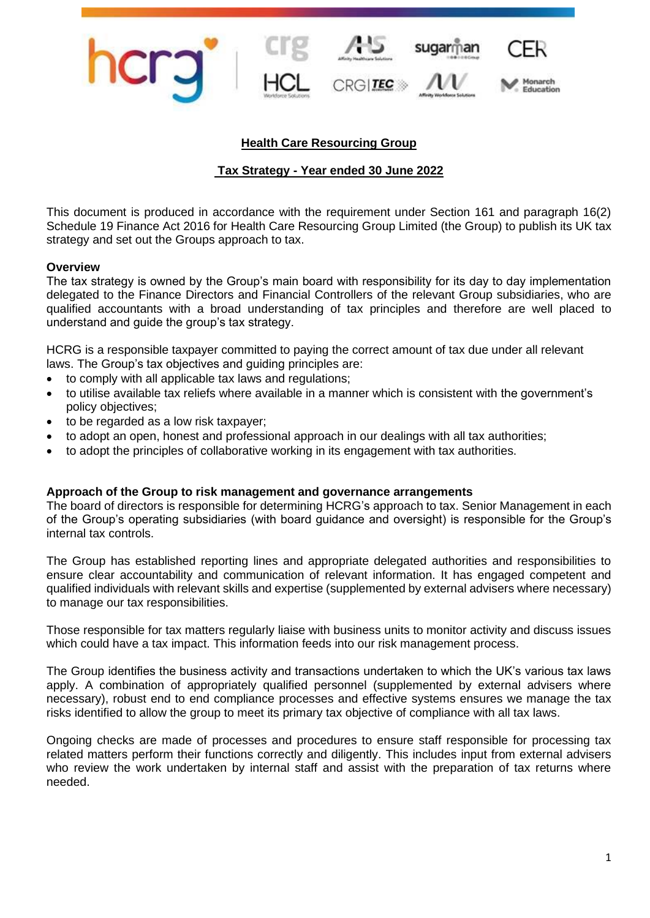

# **Health Care Resourcing Group**

# **Tax Strategy - Year ended 30 June 2022**

This document is produced in accordance with the requirement under Section 161 and paragraph 16(2) Schedule 19 Finance Act 2016 for Health Care Resourcing Group Limited (the Group) to publish its UK tax strategy and set out the Groups approach to tax.

### **Overview**

The tax strategy is owned by the Group's main board with responsibility for its day to day implementation delegated to the Finance Directors and Financial Controllers of the relevant Group subsidiaries, who are qualified accountants with a broad understanding of tax principles and therefore are well placed to understand and guide the group's tax strategy.

HCRG is a responsible taxpayer committed to paying the correct amount of tax due under all relevant laws. The Group's tax objectives and guiding principles are:

- to comply with all applicable tax laws and regulations;
- to utilise available tax reliefs where available in a manner which is consistent with the government's policy objectives;
- to be regarded as a low risk taxpayer;
- to adopt an open, honest and professional approach in our dealings with all tax authorities;
- to adopt the principles of collaborative working in its engagement with tax authorities.

#### **Approach of the Group to risk management and governance arrangements**

The board of directors is responsible for determining HCRG's approach to tax. Senior Management in each of the Group's operating subsidiaries (with board guidance and oversight) is responsible for the Group's internal tax controls.

The Group has established reporting lines and appropriate delegated authorities and responsibilities to ensure clear accountability and communication of relevant information. It has engaged competent and qualified individuals with relevant skills and expertise (supplemented by external advisers where necessary) to manage our tax responsibilities.

Those responsible for tax matters regularly liaise with business units to monitor activity and discuss issues which could have a tax impact. This information feeds into our risk management process.

The Group identifies the business activity and transactions undertaken to which the UK's various tax laws apply. A combination of appropriately qualified personnel (supplemented by external advisers where necessary), robust end to end compliance processes and effective systems ensures we manage the tax risks identified to allow the group to meet its primary tax objective of compliance with all tax laws.

Ongoing checks are made of processes and procedures to ensure staff responsible for processing tax related matters perform their functions correctly and diligently. This includes input from external advisers who review the work undertaken by internal staff and assist with the preparation of tax returns where needed.